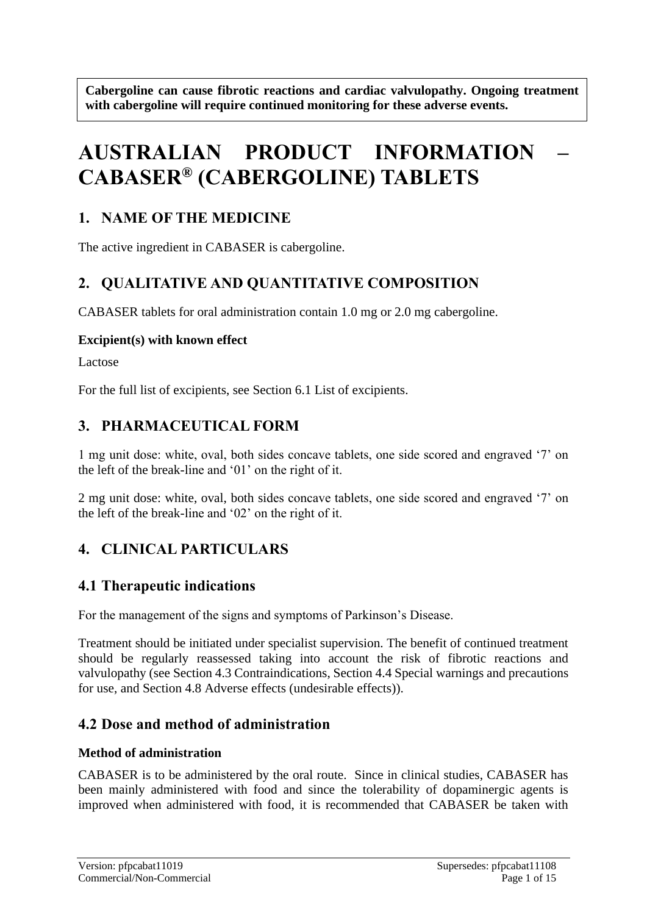**Cabergoline can cause fibrotic reactions and cardiac valvulopathy. Ongoing treatment with cabergoline will require continued monitoring for these adverse events.**

# **AUSTRALIAN PRODUCT INFORMATION – CABASER® (CABERGOLINE) TABLETS**

# **1. NAME OF THE MEDICINE**

The active ingredient in CABASER is cabergoline.

# **2. QUALITATIVE AND QUANTITATIVE COMPOSITION**

CABASER tablets for oral administration contain 1.0 mg or 2.0 mg cabergoline.

#### **Excipient(s) with known effect**

Lactose

For the full list of excipients, see Section 6.1 List of excipients.

# **3. PHARMACEUTICAL FORM**

1 mg unit dose: white, oval, both sides concave tablets, one side scored and engraved '7' on the left of the break-line and '01' on the right of it.

2 mg unit dose: white, oval, both sides concave tablets, one side scored and engraved '7' on the left of the break-line and '02' on the right of it.

# **4. CLINICAL PARTICULARS**

# **4.1 Therapeutic indications**

For the management of the signs and symptoms of Parkinson's Disease.

Treatment should be initiated under specialist supervision. The benefit of continued treatment should be regularly reassessed taking into account the risk of fibrotic reactions and valvulopathy (see Section 4.3 Contraindications, Section 4.4 Special warnings and precautions for use, and Section 4.8 Adverse effects (undesirable effects)).

### **4.2 Dose and method of administration**

#### **Method of administration**

CABASER is to be administered by the oral route. Since in clinical studies, CABASER has been mainly administered with food and since the tolerability of dopaminergic agents is improved when administered with food, it is recommended that CABASER be taken with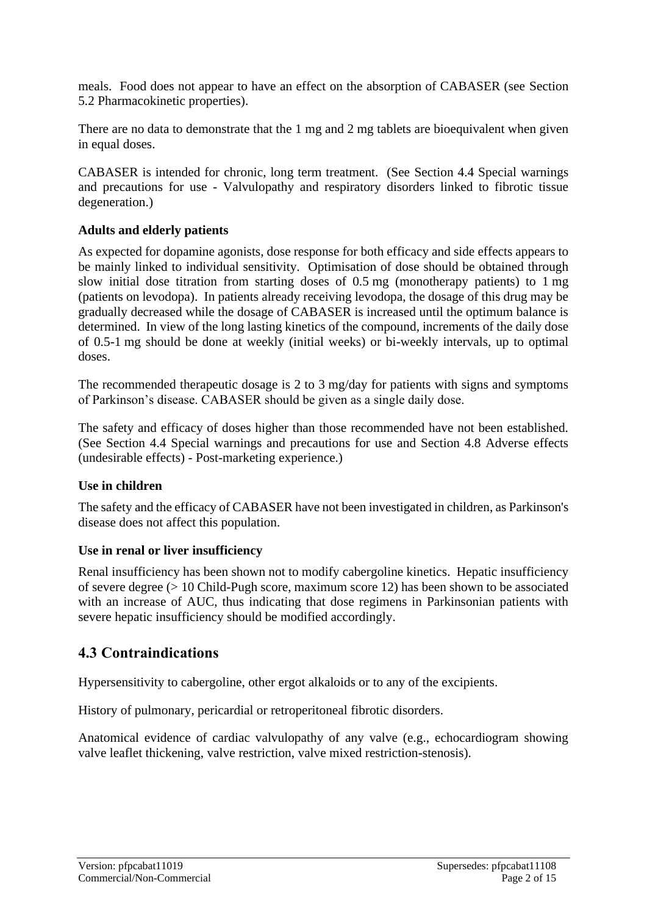meals. Food does not appear to have an effect on the absorption of CABASER (see Section 5.2 Pharmacokinetic properties).

There are no data to demonstrate that the 1 mg and 2 mg tablets are bioequivalent when given in equal doses.

CABASER is intended for chronic, long term treatment. (See Section 4.4 Special warnings and precautions for use - Valvulopathy and respiratory disorders linked to fibrotic tissue degeneration.)

#### **Adults and elderly patients**

As expected for dopamine agonists, dose response for both efficacy and side effects appears to be mainly linked to individual sensitivity. Optimisation of dose should be obtained through slow initial dose titration from starting doses of 0.5 mg (monotherapy patients) to 1 mg (patients on levodopa). In patients already receiving levodopa, the dosage of this drug may be gradually decreased while the dosage of CABASER is increased until the optimum balance is determined. In view of the long lasting kinetics of the compound, increments of the daily dose of 0.5-1 mg should be done at weekly (initial weeks) or bi-weekly intervals, up to optimal doses.

The recommended therapeutic dosage is 2 to 3 mg/day for patients with signs and symptoms of Parkinson's disease. CABASER should be given as a single daily dose.

The safety and efficacy of doses higher than those recommended have not been established. (See Section 4.4 Special warnings and precautions for use and Section 4.8 Adverse effects (undesirable effects) - Post-marketing experience.)

#### **Use in children**

The safety and the efficacy of CABASER have not been investigated in children, as Parkinson's disease does not affect this population.

#### **Use in renal or liver insufficiency**

Renal insufficiency has been shown not to modify cabergoline kinetics. Hepatic insufficiency of severe degree (> 10 Child-Pugh score, maximum score 12) has been shown to be associated with an increase of AUC, thus indicating that dose regimens in Parkinsonian patients with severe hepatic insufficiency should be modified accordingly.

### **4.3 Contraindications**

Hypersensitivity to cabergoline, other ergot alkaloids or to any of the excipients.

History of pulmonary, pericardial or retroperitoneal fibrotic disorders.

Anatomical evidence of cardiac valvulopathy of any valve (e.g., echocardiogram showing valve leaflet thickening, valve restriction, valve mixed restriction-stenosis).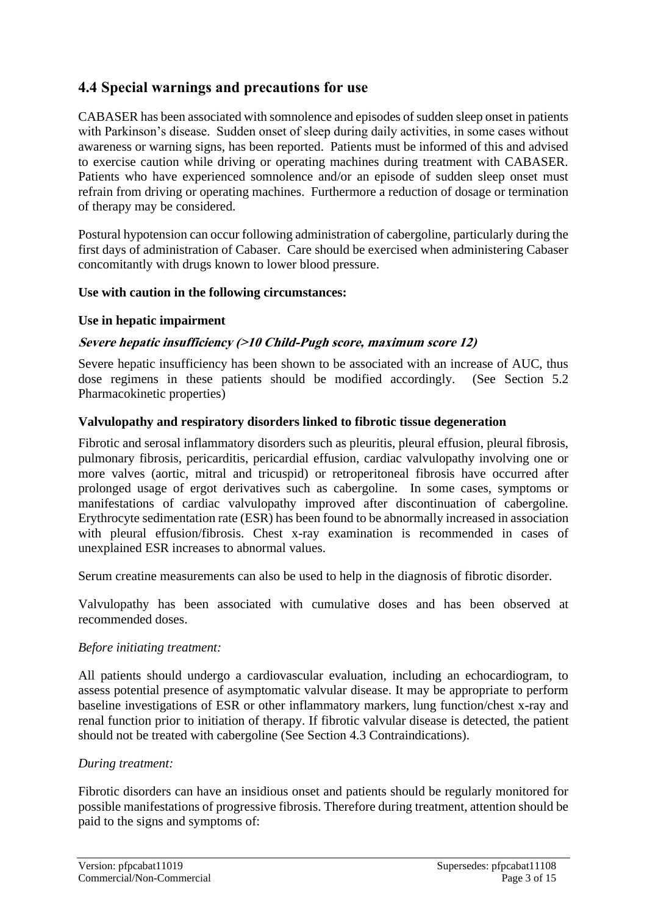# **4.4 Special warnings and precautions for use**

CABASER has been associated with somnolence and episodes of sudden sleep onset in patients with Parkinson's disease. Sudden onset of sleep during daily activities, in some cases without awareness or warning signs, has been reported. Patients must be informed of this and advised to exercise caution while driving or operating machines during treatment with CABASER. Patients who have experienced somnolence and/or an episode of sudden sleep onset must refrain from driving or operating machines. Furthermore a reduction of dosage or termination of therapy may be considered.

Postural hypotension can occur following administration of cabergoline, particularly during the first days of administration of Cabaser. Care should be exercised when administering Cabaser concomitantly with drugs known to lower blood pressure.

#### **Use with caution in the following circumstances:**

#### **Use in hepatic impairment**

#### **Severe hepatic insufficiency (>10 Child-Pugh score, maximum score 12)**

Severe hepatic insufficiency has been shown to be associated with an increase of AUC, thus dose regimens in these patients should be modified accordingly. (See Section 5.2 Pharmacokinetic properties)

#### **Valvulopathy and respiratory disorders linked to fibrotic tissue degeneration**

Fibrotic and serosal inflammatory disorders such as pleuritis, pleural effusion, pleural fibrosis, pulmonary fibrosis, pericarditis, pericardial effusion, cardiac valvulopathy involving one or more valves (aortic, mitral and tricuspid) or retroperitoneal fibrosis have occurred after prolonged usage of ergot derivatives such as cabergoline. In some cases, symptoms or manifestations of cardiac valvulopathy improved after discontinuation of cabergoline. Erythrocyte sedimentation rate (ESR) has been found to be abnormally increased in association with pleural effusion/fibrosis. Chest x-ray examination is recommended in cases of unexplained ESR increases to abnormal values.

Serum creatine measurements can also be used to help in the diagnosis of fibrotic disorder.

Valvulopathy has been associated with cumulative doses and has been observed at recommended doses.

#### *Before initiating treatment:*

All patients should undergo a cardiovascular evaluation, including an echocardiogram, to assess potential presence of asymptomatic valvular disease. It may be appropriate to perform baseline investigations of ESR or other inflammatory markers, lung function/chest x-ray and renal function prior to initiation of therapy. If fibrotic valvular disease is detected, the patient should not be treated with cabergoline (See Section 4.3 Contraindications).

#### *During treatment:*

Fibrotic disorders can have an insidious onset and patients should be regularly monitored for possible manifestations of progressive fibrosis. Therefore during treatment, attention should be paid to the signs and symptoms of: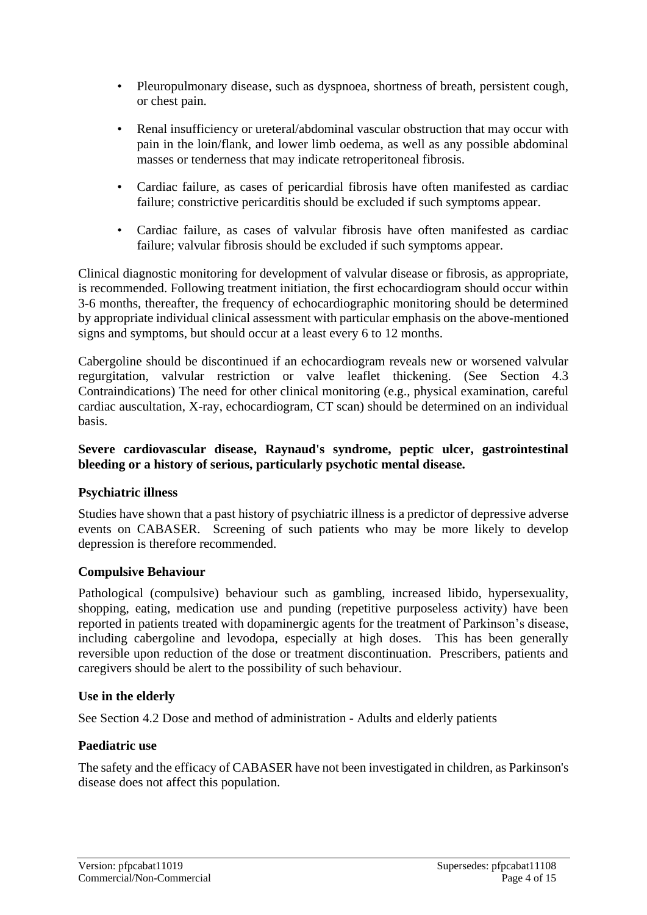- Pleuropulmonary disease, such as dyspnoea, shortness of breath, persistent cough, or chest pain.
- Renal insufficiency or ureteral/abdominal vascular obstruction that may occur with pain in the loin/flank, and lower limb oedema, as well as any possible abdominal masses or tenderness that may indicate retroperitoneal fibrosis.
- Cardiac failure, as cases of pericardial fibrosis have often manifested as cardiac failure; constrictive pericarditis should be excluded if such symptoms appear.
- Cardiac failure, as cases of valvular fibrosis have often manifested as cardiac failure; valvular fibrosis should be excluded if such symptoms appear.

Clinical diagnostic monitoring for development of valvular disease or fibrosis, as appropriate, is recommended. Following treatment initiation, the first echocardiogram should occur within 3-6 months, thereafter, the frequency of echocardiographic monitoring should be determined by appropriate individual clinical assessment with particular emphasis on the above-mentioned signs and symptoms, but should occur at a least every 6 to 12 months.

Cabergoline should be discontinued if an echocardiogram reveals new or worsened valvular regurgitation, valvular restriction or valve leaflet thickening. (See Section 4.3 Contraindications) The need for other clinical monitoring (e.g., physical examination, careful cardiac auscultation, X-ray, echocardiogram, CT scan) should be determined on an individual basis.

#### **Severe cardiovascular disease, Raynaud's syndrome, peptic ulcer, gastrointestinal bleeding or a history of serious, particularly psychotic mental disease.**

#### **Psychiatric illness**

Studies have shown that a past history of psychiatric illness is a predictor of depressive adverse events on CABASER. Screening of such patients who may be more likely to develop depression is therefore recommended.

#### **Compulsive Behaviour**

Pathological (compulsive) behaviour such as gambling, increased libido, hypersexuality, shopping, eating, medication use and punding (repetitive purposeless activity) have been reported in patients treated with dopaminergic agents for the treatment of Parkinson's disease, including cabergoline and levodopa, especially at high doses. This has been generally reversible upon reduction of the dose or treatment discontinuation. Prescribers, patients and caregivers should be alert to the possibility of such behaviour.

#### **Use in the elderly**

See Section 4.2 Dose and method of administration - Adults and elderly patients

#### **Paediatric use**

The safety and the efficacy of CABASER have not been investigated in children, as Parkinson's disease does not affect this population.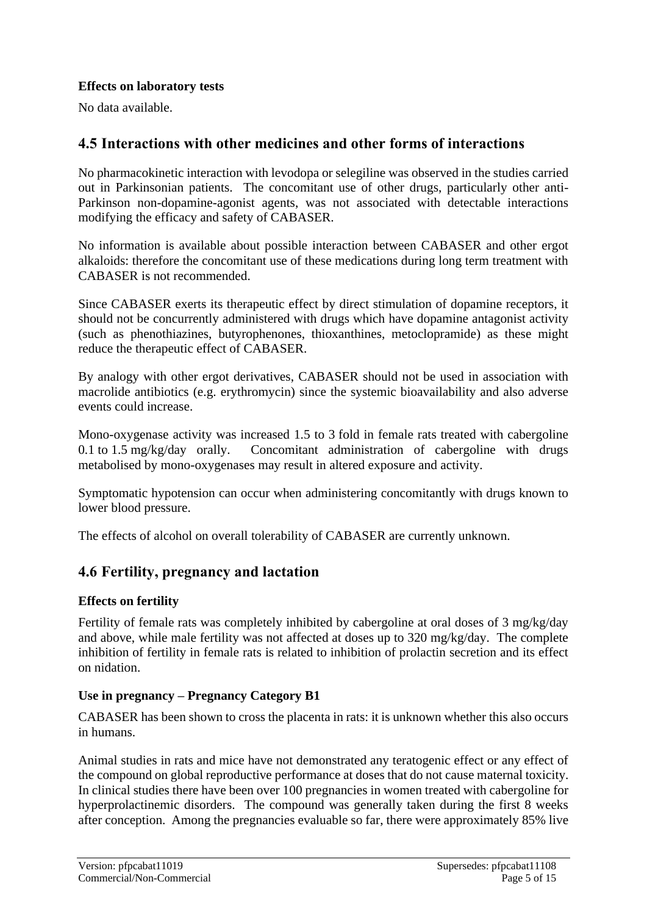#### **Effects on laboratory tests**

No data available.

### **4.5 Interactions with other medicines and other forms of interactions**

No pharmacokinetic interaction with levodopa or selegiline was observed in the studies carried out in Parkinsonian patients. The concomitant use of other drugs, particularly other anti-Parkinson non-dopamine-agonist agents, was not associated with detectable interactions modifying the efficacy and safety of CABASER.

No information is available about possible interaction between CABASER and other ergot alkaloids: therefore the concomitant use of these medications during long term treatment with CABASER is not recommended.

Since CABASER exerts its therapeutic effect by direct stimulation of dopamine receptors, it should not be concurrently administered with drugs which have dopamine antagonist activity (such as phenothiazines, butyrophenones, thioxanthines, metoclopramide) as these might reduce the therapeutic effect of CABASER.

By analogy with other ergot derivatives, CABASER should not be used in association with macrolide antibiotics (e.g. erythromycin) since the systemic bioavailability and also adverse events could increase.

Mono-oxygenase activity was increased 1.5 to 3 fold in female rats treated with cabergoline 0.1 to 1.5 mg/kg/day orally. Concomitant administration of cabergoline with drugs metabolised by mono-oxygenases may result in altered exposure and activity.

Symptomatic hypotension can occur when administering concomitantly with drugs known to lower blood pressure.

The effects of alcohol on overall tolerability of CABASER are currently unknown.

### **4.6 Fertility, pregnancy and lactation**

#### **Effects on fertility**

Fertility of female rats was completely inhibited by cabergoline at oral doses of 3 mg/kg/day and above, while male fertility was not affected at doses up to 320 mg/kg/day. The complete inhibition of fertility in female rats is related to inhibition of prolactin secretion and its effect on nidation.

#### **Use in pregnancy – Pregnancy Category B1**

CABASER has been shown to cross the placenta in rats: it is unknown whether this also occurs in humans.

Animal studies in rats and mice have not demonstrated any teratogenic effect or any effect of the compound on global reproductive performance at doses that do not cause maternal toxicity. In clinical studies there have been over 100 pregnancies in women treated with cabergoline for hyperprolactinemic disorders. The compound was generally taken during the first 8 weeks after conception. Among the pregnancies evaluable so far, there were approximately 85% live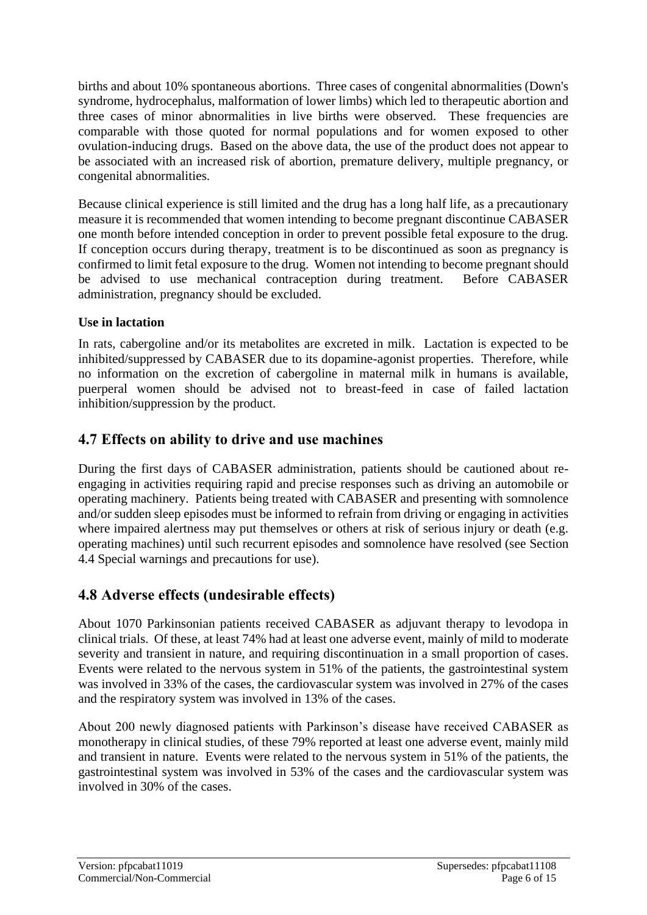births and about 10% spontaneous abortions. Three cases of congenital abnormalities (Down's syndrome, hydrocephalus, malformation of lower limbs) which led to therapeutic abortion and three cases of minor abnormalities in live births were observed. These frequencies are comparable with those quoted for normal populations and for women exposed to other ovulation-inducing drugs. Based on the above data, the use of the product does not appear to be associated with an increased risk of abortion, premature delivery, multiple pregnancy, or congenital abnormalities.

Because clinical experience is still limited and the drug has a long half life, as a precautionary measure it is recommended that women intending to become pregnant discontinue CABASER one month before intended conception in order to prevent possible fetal exposure to the drug. If conception occurs during therapy, treatment is to be discontinued as soon as pregnancy is confirmed to limit fetal exposure to the drug. Women not intending to become pregnant should be advised to use mechanical contraception during treatment. Before CABASER administration, pregnancy should be excluded.

#### **Use in lactation**

In rats, cabergoline and/or its metabolites are excreted in milk. Lactation is expected to be inhibited/suppressed by CABASER due to its dopamine-agonist properties. Therefore, while no information on the excretion of cabergoline in maternal milk in humans is available, puerperal women should be advised not to breast-feed in case of failed lactation inhibition/suppression by the product.

# **4.7 Effects on ability to drive and use machines**

During the first days of CABASER administration, patients should be cautioned about reengaging in activities requiring rapid and precise responses such as driving an automobile or operating machinery. Patients being treated with CABASER and presenting with somnolence and/or sudden sleep episodes must be informed to refrain from driving or engaging in activities where impaired alertness may put themselves or others at risk of serious injury or death (e.g. operating machines) until such recurrent episodes and somnolence have resolved (see Section 4.4 Special warnings and precautions for use).

# **4.8 Adverse effects (undesirable effects)**

About 1070 Parkinsonian patients received CABASER as adjuvant therapy to levodopa in clinical trials. Of these, at least 74% had at least one adverse event, mainly of mild to moderate severity and transient in nature, and requiring discontinuation in a small proportion of cases. Events were related to the nervous system in 51% of the patients, the gastrointestinal system was involved in 33% of the cases, the cardiovascular system was involved in 27% of the cases and the respiratory system was involved in 13% of the cases.

About 200 newly diagnosed patients with Parkinson's disease have received CABASER as monotherapy in clinical studies, of these 79% reported at least one adverse event, mainly mild and transient in nature. Events were related to the nervous system in 51% of the patients, the gastrointestinal system was involved in 53% of the cases and the cardiovascular system was involved in 30% of the cases.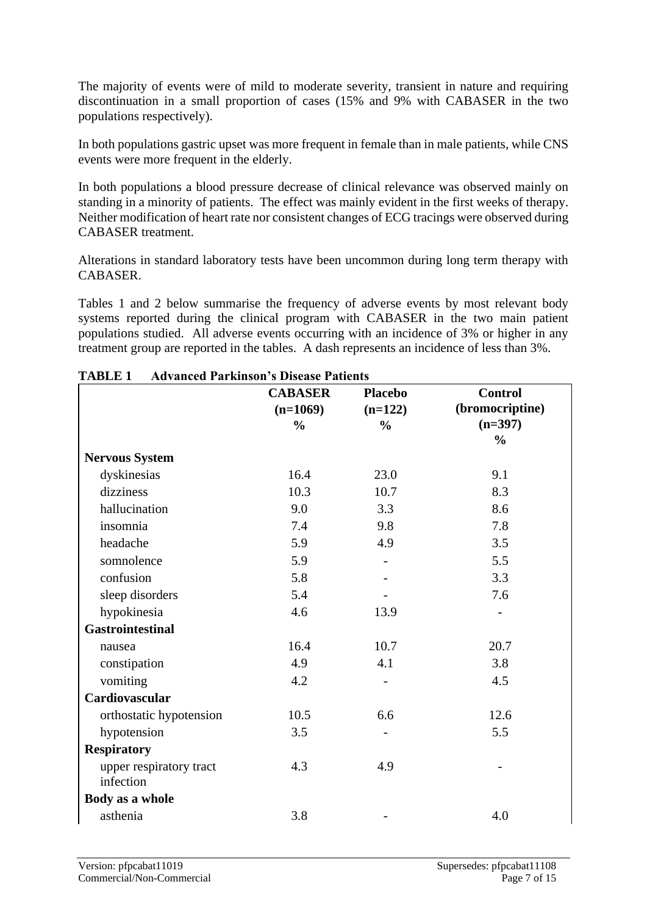The majority of events were of mild to moderate severity, transient in nature and requiring discontinuation in a small proportion of cases (15% and 9% with CABASER in the two populations respectively).

In both populations gastric upset was more frequent in female than in male patients, while CNS events were more frequent in the elderly.

In both populations a blood pressure decrease of clinical relevance was observed mainly on standing in a minority of patients. The effect was mainly evident in the first weeks of therapy. Neither modification of heart rate nor consistent changes of ECG tracings were observed during CABASER treatment.

Alterations in standard laboratory tests have been uncommon during long term therapy with CABASER.

Tables 1 and 2 below summarise the frequency of adverse events by most relevant body systems reported during the clinical program with CABASER in the two main patient populations studied. All adverse events occurring with an incidence of 3% or higher in any treatment group are reported in the tables. A dash represents an incidence of less than 3%.

|                         | <b>CABASER</b>              | <b>Placebo</b>             | <b>Control</b>               |
|-------------------------|-----------------------------|----------------------------|------------------------------|
|                         | $(n=1069)$<br>$\frac{0}{0}$ | $(n=122)$<br>$\frac{0}{0}$ | (bromocriptine)<br>$(n=397)$ |
|                         |                             |                            | $\frac{0}{0}$                |
| <b>Nervous System</b>   |                             |                            |                              |
| dyskinesias             | 16.4                        | 23.0                       | 9.1                          |
| dizziness               | 10.3                        | 10.7                       | 8.3                          |
| hallucination           | 9.0                         | 3.3                        | 8.6                          |
| insomnia                | 7.4                         | 9.8                        | 7.8                          |
| headache                | 5.9                         | 4.9                        | 3.5                          |
| somnolence              | 5.9                         |                            | 5.5                          |
| confusion               | 5.8                         |                            | 3.3                          |
| sleep disorders         | 5.4                         |                            | 7.6                          |
| hypokinesia             | 4.6                         | 13.9                       |                              |
| <b>Gastrointestinal</b> |                             |                            |                              |
| nausea                  | 16.4                        | 10.7                       | 20.7                         |
| constipation            | 4.9                         | 4.1                        | 3.8                          |
| vomiting                | 4.2                         |                            | 4.5                          |
| Cardiovascular          |                             |                            |                              |
| orthostatic hypotension | 10.5                        | 6.6                        | 12.6                         |
| hypotension             | 3.5                         |                            | 5.5                          |
| <b>Respiratory</b>      |                             |                            |                              |
| upper respiratory tract | 4.3                         | 4.9                        |                              |
| infection               |                             |                            |                              |
| Body as a whole         |                             |                            |                              |
| asthenia                | 3.8                         |                            | 4.0                          |

#### **TABLE 1 Advanced Parkinson's Disease Patients**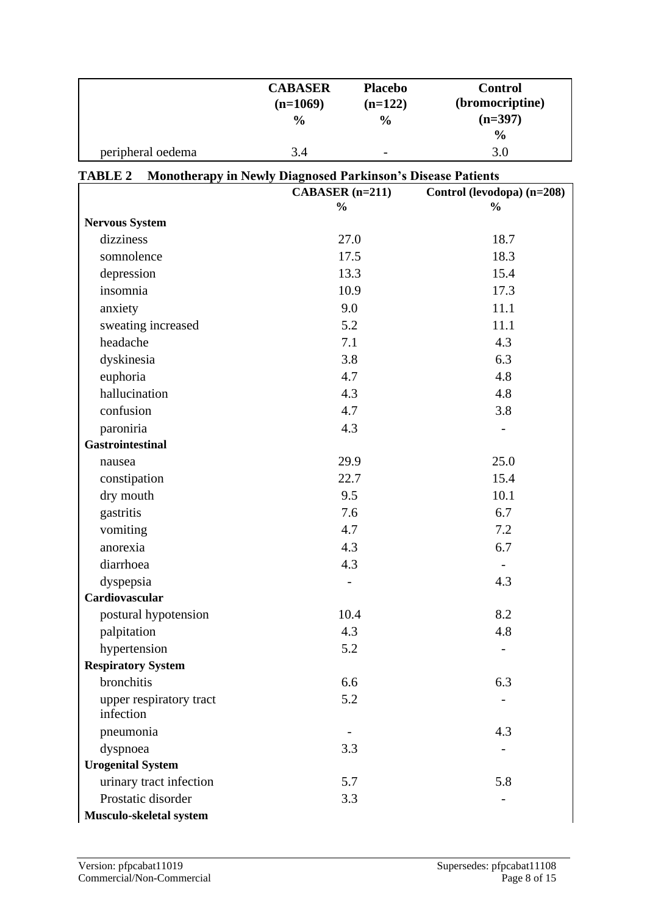|                                      | <b>CABASER</b>                                              | <b>Placebo</b> | <b>Control</b>             |
|--------------------------------------|-------------------------------------------------------------|----------------|----------------------------|
|                                      | $(n=1069)$                                                  | $(n=122)$      | (bromocriptine)            |
|                                      | $\frac{0}{0}$                                               | $\frac{0}{0}$  | $(n=397)$                  |
|                                      |                                                             |                | $\frac{0}{0}$              |
| peripheral oedema                    | 3.4                                                         |                | 3.0                        |
| <b>TABLE 2</b>                       | Monotherapy in Newly Diagnosed Parkinson's Disease Patients |                |                            |
|                                      | CABASER (n=211)                                             |                | Control (levodopa) (n=208) |
|                                      | $\frac{0}{0}$                                               |                | $\frac{0}{0}$              |
| <b>Nervous System</b><br>dizziness   |                                                             | 27.0           | 18.7                       |
| somnolence                           |                                                             | 17.5           | 18.3                       |
|                                      |                                                             |                |                            |
| depression                           |                                                             | 13.3           | 15.4                       |
| insomnia                             |                                                             | 10.9           | 17.3                       |
| anxiety                              |                                                             | 9.0            | 11.1                       |
| sweating increased                   |                                                             | 5.2            | 11.1                       |
| headache                             |                                                             | 7.1            | 4.3                        |
| dyskinesia                           |                                                             | 3.8            | 6.3                        |
| euphoria                             |                                                             | 4.7            | 4.8                        |
| hallucination                        |                                                             | 4.3            | 4.8                        |
| confusion                            |                                                             | 4.7            | 3.8                        |
| paroniria                            |                                                             | 4.3            |                            |
| <b>Gastrointestinal</b>              |                                                             |                |                            |
| nausea                               |                                                             | 29.9           | 25.0                       |
| constipation                         |                                                             | 22.7           | 15.4                       |
| dry mouth                            |                                                             | 9.5            | 10.1                       |
| gastritis                            |                                                             | 7.6            | 6.7                        |
| vomiting                             |                                                             | 4.7            | 7.2                        |
| anorexia                             |                                                             | 4.3            | 6.7                        |
| diarrhoea                            |                                                             | 4.3            | $\overline{\phantom{0}}$   |
| dyspepsia                            |                                                             |                | 4.3                        |
| Cardiovascular                       |                                                             |                |                            |
| postural hypotension                 |                                                             | 10.4           | 8.2                        |
| palpitation                          |                                                             | 4.3            | 4.8                        |
| hypertension                         |                                                             | 5.2            |                            |
| <b>Respiratory System</b>            |                                                             |                |                            |
| bronchitis                           |                                                             | 6.6            | 6.3                        |
| upper respiratory tract<br>infection |                                                             | 5.2            |                            |
| pneumonia                            |                                                             |                | 4.3                        |
| dyspnoea                             |                                                             | 3.3            |                            |
| <b>Urogenital System</b>             |                                                             |                |                            |
| urinary tract infection              |                                                             | 5.7            | 5.8                        |
| Prostatic disorder                   |                                                             | 3.3            |                            |
| Musculo-skeletal system              |                                                             |                |                            |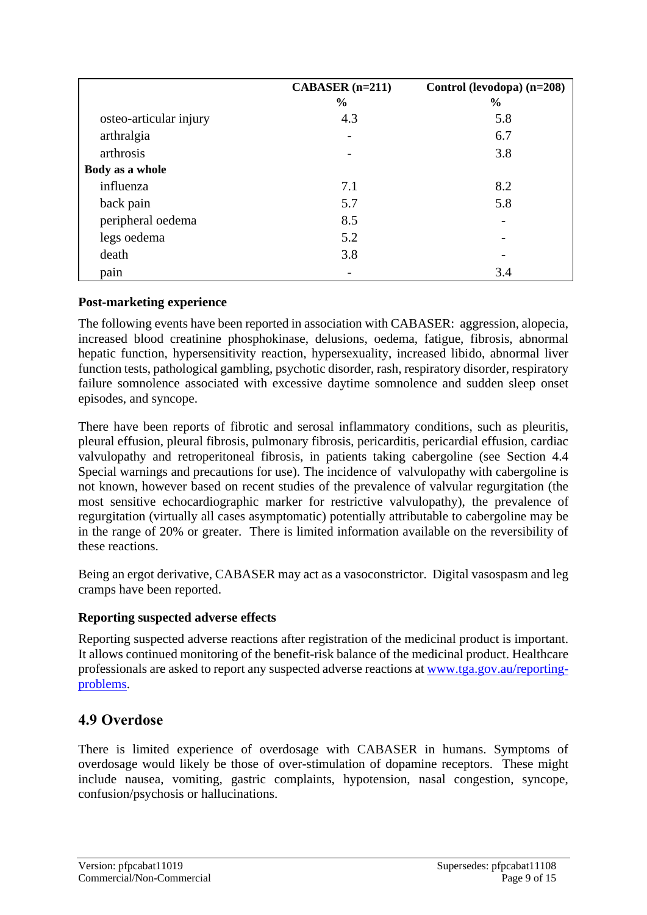|                        | CABASER $(n=211)$<br>$\frac{0}{0}$ | Control (levodopa) (n=208)<br>$\frac{0}{0}$ |
|------------------------|------------------------------------|---------------------------------------------|
| osteo-articular injury | 4.3                                | 5.8                                         |
| arthralgia             |                                    | 6.7                                         |
| arthrosis              |                                    | 3.8                                         |
| Body as a whole        |                                    |                                             |
| influenza              | 7.1                                | 8.2                                         |
| back pain              | 5.7                                | 5.8                                         |
| peripheral oedema      | 8.5                                |                                             |
| legs oedema            | 5.2                                |                                             |
| death                  | 3.8                                |                                             |
| pain                   |                                    | 3.4                                         |

#### **Post-marketing experience**

The following events have been reported in association with CABASER: aggression, alopecia, increased blood creatinine phosphokinase, delusions, oedema, fatigue, fibrosis, abnormal hepatic function, hypersensitivity reaction, hypersexuality, increased libido, abnormal liver function tests, pathological gambling, psychotic disorder, rash, respiratory disorder, respiratory failure somnolence associated with excessive daytime somnolence and sudden sleep onset episodes, and syncope.

There have been reports of fibrotic and serosal inflammatory conditions, such as pleuritis, pleural effusion, pleural fibrosis, pulmonary fibrosis, pericarditis, pericardial effusion, cardiac valvulopathy and retroperitoneal fibrosis, in patients taking cabergoline (see Section 4.4 Special warnings and precautions for use). The incidence of valvulopathy with cabergoline is not known, however based on recent studies of the prevalence of valvular regurgitation (the most sensitive echocardiographic marker for restrictive valvulopathy), the prevalence of regurgitation (virtually all cases asymptomatic) potentially attributable to cabergoline may be in the range of 20% or greater. There is limited information available on the reversibility of these reactions.

Being an ergot derivative, CABASER may act as a vasoconstrictor. Digital vasospasm and leg cramps have been reported.

#### **Reporting suspected adverse effects**

Reporting suspected adverse reactions after registration of the medicinal product is important. It allows continued monitoring of the benefit-risk balance of the medicinal product. Healthcare professionals are asked to report any suspected adverse reactions at [www.tga.gov.au/reporting](http://www.tga.gov.au/reporting-problems)[problems.](http://www.tga.gov.au/reporting-problems)

### **4.9 Overdose**

There is limited experience of overdosage with CABASER in humans. Symptoms of overdosage would likely be those of over-stimulation of dopamine receptors. These might include nausea, vomiting, gastric complaints, hypotension, nasal congestion, syncope, confusion/psychosis or hallucinations.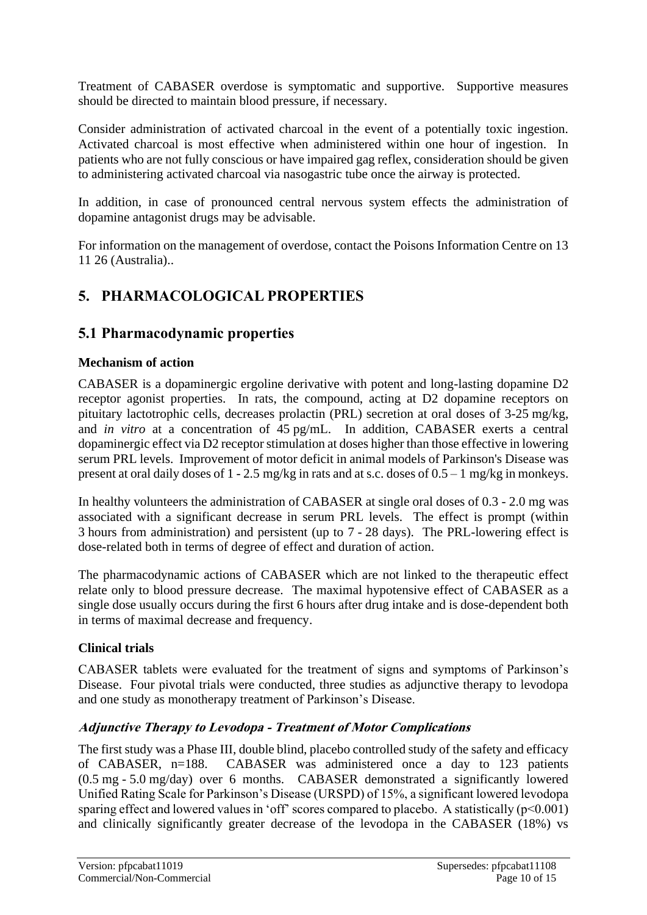Treatment of CABASER overdose is symptomatic and supportive. Supportive measures should be directed to maintain blood pressure, if necessary.

Consider administration of activated charcoal in the event of a potentially toxic ingestion. Activated charcoal is most effective when administered within one hour of ingestion. In patients who are not fully conscious or have impaired gag reflex, consideration should be given to administering activated charcoal via nasogastric tube once the airway is protected.

In addition, in case of pronounced central nervous system effects the administration of dopamine antagonist drugs may be advisable.

For information on the management of overdose, contact the Poisons Information Centre on 13 11 26 (Australia)..

# **5. PHARMACOLOGICAL PROPERTIES**

# **5.1 Pharmacodynamic properties**

### **Mechanism of action**

CABASER is a dopaminergic ergoline derivative with potent and long-lasting dopamine D2 receptor agonist properties. In rats, the compound, acting at D2 dopamine receptors on pituitary lactotrophic cells, decreases prolactin (PRL) secretion at oral doses of 3-25 mg/kg, and *in vitro* at a concentration of 45 pg/mL. In addition, CABASER exerts a central dopaminergic effect via D2 receptor stimulation at doses higher than those effective in lowering serum PRL levels. Improvement of motor deficit in animal models of Parkinson's Disease was present at oral daily doses of 1 - 2.5 mg/kg in rats and at s.c. doses of 0.5 – 1 mg/kg in monkeys.

In healthy volunteers the administration of CABASER at single oral doses of 0.3 - 2.0 mg was associated with a significant decrease in serum PRL levels. The effect is prompt (within 3 hours from administration) and persistent (up to 7 - 28 days). The PRL-lowering effect is dose-related both in terms of degree of effect and duration of action.

The pharmacodynamic actions of CABASER which are not linked to the therapeutic effect relate only to blood pressure decrease. The maximal hypotensive effect of CABASER as a single dose usually occurs during the first 6 hours after drug intake and is dose-dependent both in terms of maximal decrease and frequency.

### **Clinical trials**

CABASER tablets were evaluated for the treatment of signs and symptoms of Parkinson's Disease. Four pivotal trials were conducted, three studies as adjunctive therapy to levodopa and one study as monotherapy treatment of Parkinson's Disease.

#### **Adjunctive Therapy to Levodopa - Treatment of Motor Complications**

The first study was a Phase III, double blind, placebo controlled study of the safety and efficacy of CABASER, n=188. CABASER was administered once a day to 123 patients (0.5 mg - 5.0 mg/day) over 6 months. CABASER demonstrated a significantly lowered Unified Rating Scale for Parkinson's Disease (URSPD) of 15%, a significant lowered levodopa sparing effect and lowered values in 'off' scores compared to placebo. A statistically  $(p<0.001)$ and clinically significantly greater decrease of the levodopa in the CABASER (18%) vs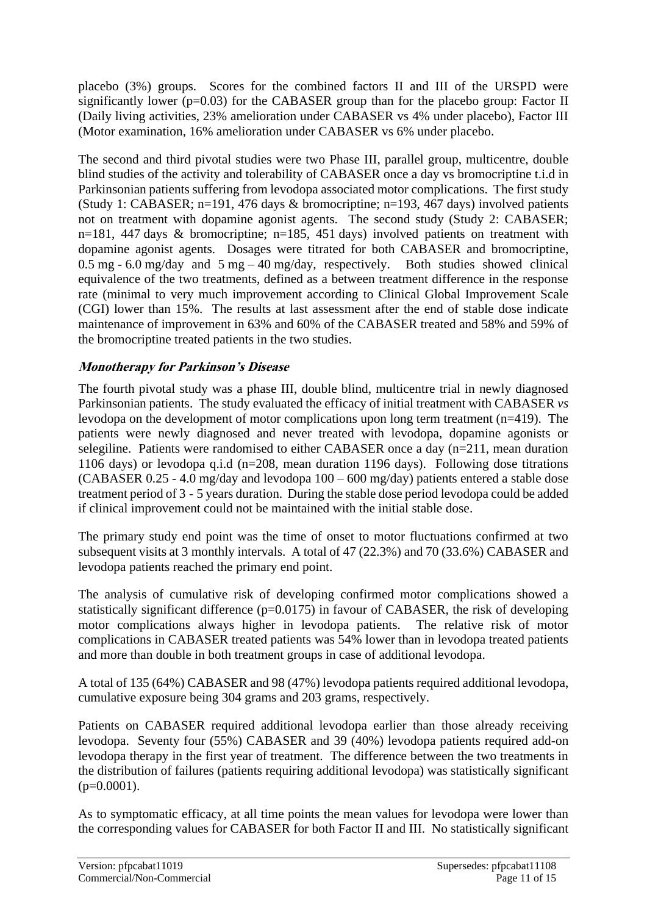placebo (3%) groups. Scores for the combined factors II and III of the URSPD were significantly lower ( $p=0.03$ ) for the CABASER group than for the placebo group: Factor II (Daily living activities, 23% amelioration under CABASER vs 4% under placebo), Factor III (Motor examination, 16% amelioration under CABASER vs 6% under placebo.

The second and third pivotal studies were two Phase III, parallel group, multicentre, double blind studies of the activity and tolerability of CABASER once a day vs bromocriptine t.i.d in Parkinsonian patients suffering from levodopa associated motor complications. The first study (Study 1: CABASER; n=191, 476 days  $\&$  bromocriptine; n=193, 467 days) involved patients not on treatment with dopamine agonist agents. The second study (Study 2: CABASER; n=181, 447 days & bromocriptine; n=185, 451 days) involved patients on treatment with dopamine agonist agents. Dosages were titrated for both CABASER and bromocriptine, 0.5 mg - 6.0 mg/day and 5 mg - 40 mg/day, respectively. Both studies showed clinical equivalence of the two treatments, defined as a between treatment difference in the response rate (minimal to very much improvement according to Clinical Global Improvement Scale (CGI) lower than 15%. The results at last assessment after the end of stable dose indicate maintenance of improvement in 63% and 60% of the CABASER treated and 58% and 59% of the bromocriptine treated patients in the two studies.

#### **Monotherapy for Parkinson's Disease**

The fourth pivotal study was a phase III, double blind, multicentre trial in newly diagnosed Parkinsonian patients. The study evaluated the efficacy of initial treatment with CABASER *vs* levodopa on the development of motor complications upon long term treatment (n=419). The patients were newly diagnosed and never treated with levodopa, dopamine agonists or selegiline. Patients were randomised to either CABASER once a day (n=211, mean duration 1106 days) or levodopa q.i.d (n=208, mean duration 1196 days). Following dose titrations (CABASER 0.25 - 4.0 mg/day and levodopa 100 – 600 mg/day) patients entered a stable dose treatment period of 3 - 5 years duration. During the stable dose period levodopa could be added if clinical improvement could not be maintained with the initial stable dose.

The primary study end point was the time of onset to motor fluctuations confirmed at two subsequent visits at 3 monthly intervals. A total of 47 (22.3%) and 70 (33.6%) CABASER and levodopa patients reached the primary end point.

The analysis of cumulative risk of developing confirmed motor complications showed a statistically significant difference  $(p=0.0175)$  in favour of CABASER, the risk of developing motor complications always higher in levodopa patients. The relative risk of motor complications in CABASER treated patients was 54% lower than in levodopa treated patients and more than double in both treatment groups in case of additional levodopa.

A total of 135 (64%) CABASER and 98 (47%) levodopa patients required additional levodopa, cumulative exposure being 304 grams and 203 grams, respectively.

Patients on CABASER required additional levodopa earlier than those already receiving levodopa. Seventy four (55%) CABASER and 39 (40%) levodopa patients required add-on levodopa therapy in the first year of treatment. The difference between the two treatments in the distribution of failures (patients requiring additional levodopa) was statistically significant  $(p=0.0001)$ .

As to symptomatic efficacy, at all time points the mean values for levodopa were lower than the corresponding values for CABASER for both Factor II and III. No statistically significant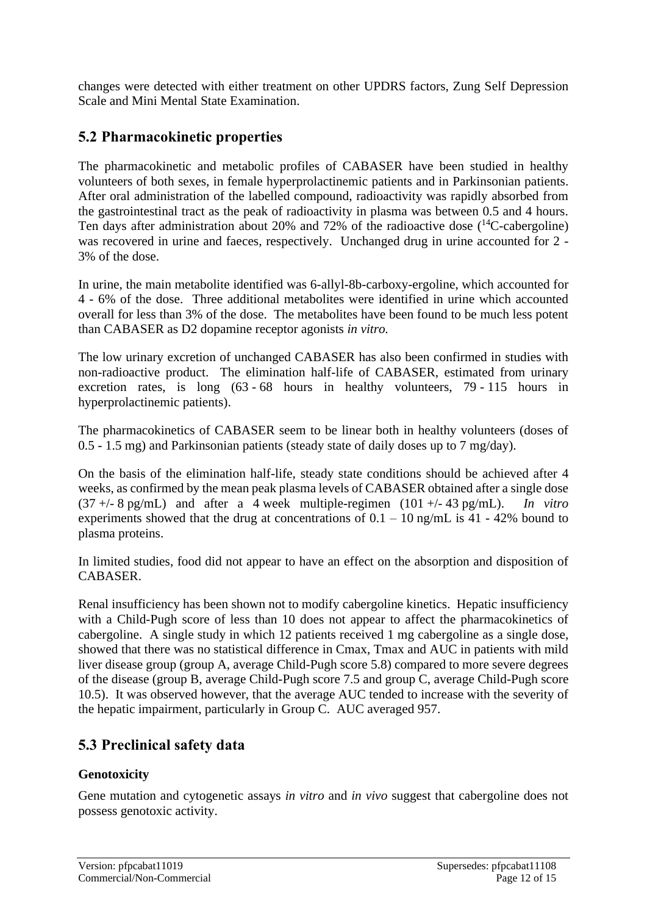changes were detected with either treatment on other UPDRS factors, Zung Self Depression Scale and Mini Mental State Examination.

# **5.2 Pharmacokinetic properties**

The pharmacokinetic and metabolic profiles of CABASER have been studied in healthy volunteers of both sexes, in female hyperprolactinemic patients and in Parkinsonian patients. After oral administration of the labelled compound, radioactivity was rapidly absorbed from the gastrointestinal tract as the peak of radioactivity in plasma was between 0.5 and 4 hours. Ten days after administration about 20% and 72% of the radioactive dose  $(^{14}C$ -cabergoline) was recovered in urine and faeces, respectively. Unchanged drug in urine accounted for 2 - 3% of the dose.

In urine, the main metabolite identified was 6-allyl-8b-carboxy-ergoline, which accounted for 4 - 6% of the dose. Three additional metabolites were identified in urine which accounted overall for less than 3% of the dose. The metabolites have been found to be much less potent than CABASER as D2 dopamine receptor agonists *in vitro.*

The low urinary excretion of unchanged CABASER has also been confirmed in studies with non-radioactive product. The elimination half-life of CABASER, estimated from urinary excretion rates, is long (63 - 68 hours in healthy volunteers, 79 - 115 hours in hyperprolactinemic patients).

The pharmacokinetics of CABASER seem to be linear both in healthy volunteers (doses of 0.5 - 1.5 mg) and Parkinsonian patients (steady state of daily doses up to 7 mg/day).

On the basis of the elimination half-life, steady state conditions should be achieved after 4 weeks, as confirmed by the mean peak plasma levels of CABASER obtained after a single dose (37 +/- 8 pg/mL) and after a 4 week multiple-regimen (101 +/- 43 pg/mL). *In vitro* experiments showed that the drug at concentrations of  $0.1 - 10$  ng/mL is 41 - 42% bound to plasma proteins.

In limited studies, food did not appear to have an effect on the absorption and disposition of CABASER.

Renal insufficiency has been shown not to modify cabergoline kinetics. Hepatic insufficiency with a Child-Pugh score of less than 10 does not appear to affect the pharmacokinetics of cabergoline. A single study in which 12 patients received 1 mg cabergoline as a single dose, showed that there was no statistical difference in Cmax, Tmax and AUC in patients with mild liver disease group (group A, average Child-Pugh score 5.8) compared to more severe degrees of the disease (group B, average Child-Pugh score 7.5 and group C, average Child-Pugh score 10.5). It was observed however, that the average AUC tended to increase with the severity of the hepatic impairment, particularly in Group C. AUC averaged 957.

# **5.3 Preclinical safety data**

### **Genotoxicity**

Gene mutation and cytogenetic assays *in vitro* and *in vivo* suggest that cabergoline does not possess genotoxic activity.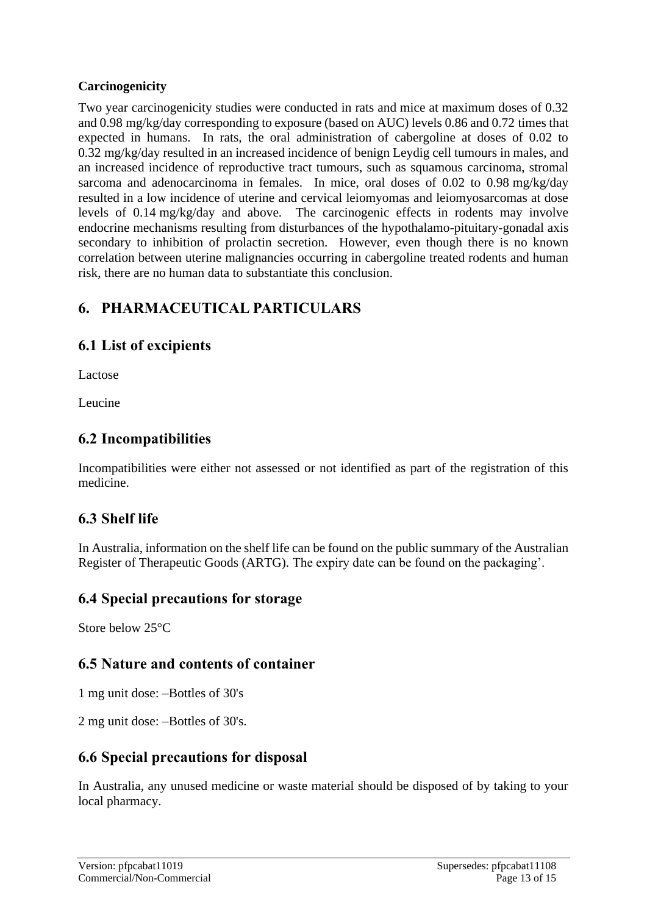#### **Carcinogenicity**

Two year carcinogenicity studies were conducted in rats and mice at maximum doses of 0.32 and 0.98 mg/kg/day corresponding to exposure (based on AUC) levels 0.86 and 0.72 times that expected in humans. In rats, the oral administration of cabergoline at doses of 0.02 to 0.32 mg/kg/day resulted in an increased incidence of benign Leydig cell tumours in males, and an increased incidence of reproductive tract tumours, such as squamous carcinoma, stromal sarcoma and adenocarcinoma in females. In mice, oral doses of 0.02 to 0.98 mg/kg/day resulted in a low incidence of uterine and cervical leiomyomas and leiomyosarcomas at dose levels of 0.14 mg/kg/day and above. The carcinogenic effects in rodents may involve endocrine mechanisms resulting from disturbances of the hypothalamo-pituitary-gonadal axis secondary to inhibition of prolactin secretion. However, even though there is no known correlation between uterine malignancies occurring in cabergoline treated rodents and human risk, there are no human data to substantiate this conclusion.

# **6. PHARMACEUTICAL PARTICULARS**

# **6.1 List of excipients**

Lactose

Leucine

# **6.2 Incompatibilities**

Incompatibilities were either not assessed or not identified as part of the registration of this medicine.

# **6.3 Shelf life**

In Australia, information on the shelf life can be found on the public summary of the Australian Register of Therapeutic Goods (ARTG). The expiry date can be found on the packaging'.

# **6.4 Special precautions for storage**

Store below 25°C

# **6.5 Nature and contents of container**

1 mg unit dose: –Bottles of 30's

2 mg unit dose: –Bottles of 30's.

# **6.6 Special precautions for disposal**

In Australia, any unused medicine or waste material should be disposed of by taking to your local pharmacy.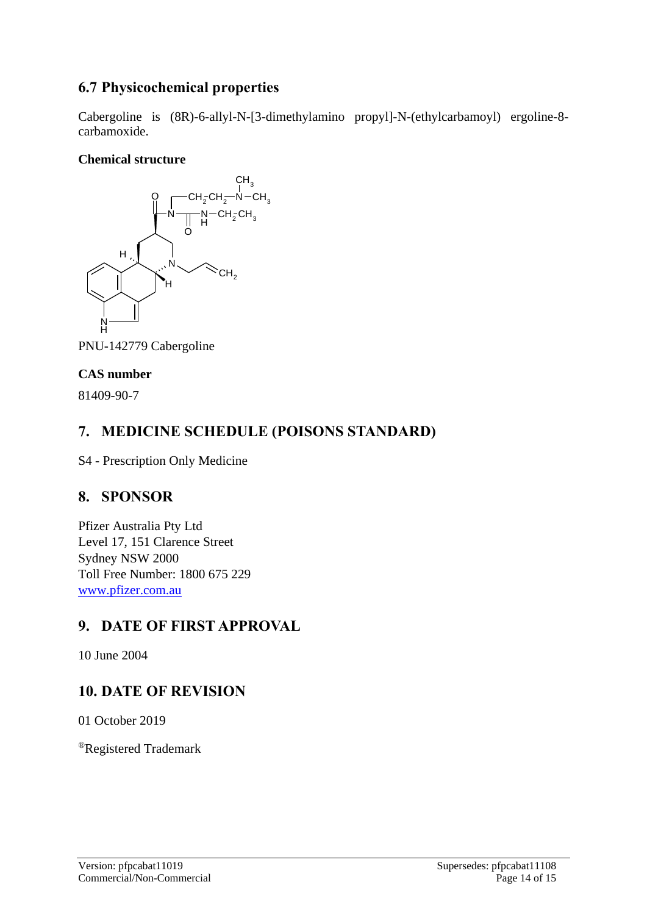# **6.7 Physicochemical properties**

Cabergoline is (8R)-6-allyl-N-[3-dimethylamino propyl]-N-(ethylcarbamoyl) ergoline-8 carbamoxide.

#### **Chemical structure**



PNU-142779 Cabergoline

#### **CAS number**

81409-90-7

# **7. MEDICINE SCHEDULE (POISONS STANDARD)**

S4 - Prescription Only Medicine

# **8. SPONSOR**

Pfizer Australia Pty Ltd Level 17, 151 Clarence Street Sydney NSW 2000 Toll Free Number: 1800 675 229 [www.pfizer.com.au](http://www.pfizer.com.au/)

# **9. DATE OF FIRST APPROVAL**

10 June 2004

# **10. DATE OF REVISION**

01 October 2019

®Registered Trademark